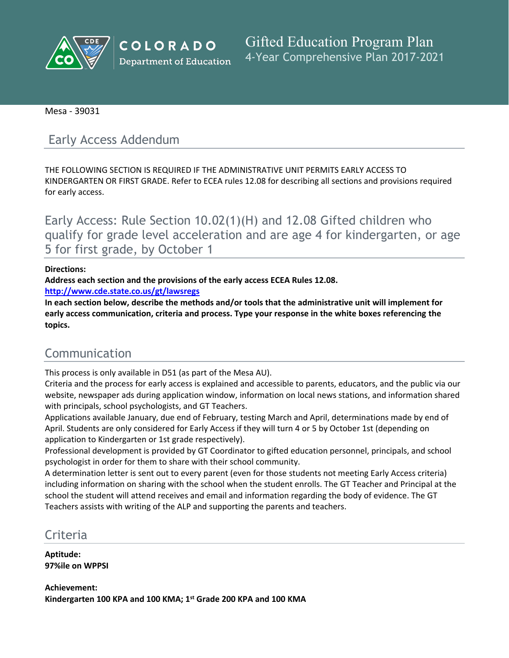

**COLORADO Department of Education** 

**Gifted Education Program Plan** 4-Year Comprehensive Plan 2017-2021

Mesa - 39031

# Early Access Addendum

THE FOLLOWING SECTION IS REQUIRED IF THE ADMINISTRATIVE UNIT PERMITS EARLY ACCESS TO KINDERGARTEN OR FIRST GRADE. Refer to ECEA rules 12.08 for describing all sections and provisions required for early access.

Early Access: Rule Section 10.02(1)(H) and 12.08 Gifted children who qualify for grade level acceleration and are age 4 for kindergarten, or age 5 for first grade, by October 1

### **Directions:**

**Address each section and the provisions of the early access ECEA Rules 12.08.**

**<http://www.cde.state.co.us/gt/lawsregs>**

**In each section below, describe the methods and/or tools that the administrative unit will implement for early access communication, criteria and process. Type your response in the white boxes referencing the topics.**

# Communication

This process is only available in D51 (as part of the Mesa AU).

Criteria and the process for early access is explained and accessible to parents, educators, and the public via our website, newspaper ads during application window, information on local news stations, and information shared with principals, school psychologists, and GT Teachers.

Applications available January, due end of February, testing March and April, determinations made by end of April. Students are only considered for Early Access if they will turn 4 or 5 by October 1st (depending on application to Kindergarten or 1st grade respectively).

Professional development is provided by GT Coordinator to gifted education personnel, principals, and school psychologist in order for them to share with their school community.

A determination letter is sent out to every parent (even for those students not meeting Early Access criteria) including information on sharing with the school when the student enrolls. The GT Teacher and Principal at the school the student will attend receives and email and information regarding the body of evidence. The GT Teachers assists with writing of the ALP and supporting the parents and teachers.

## Criteria

**Aptitude: 97%ile on WPPSI**

**Achievement: Kindergarten 100 KPA and 100 KMA; 1 st Grade 200 KPA and 100 KMA**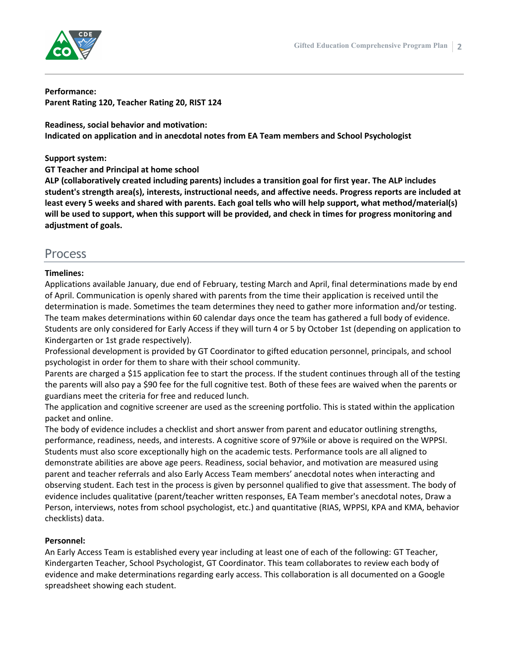

**Performance: Parent Rating 120, Teacher Rating 20, RIST 124**

**Readiness, social behavior and motivation: Indicated on application and in anecdotal notes from EA Team members and School Psychologist**

**Support system:**

**GT Teacher and Principal at home school**

**ALP (collaboratively created including parents) includes a transition goal for first year. The ALP includes student's strength area(s), interests, instructional needs, and affective needs. Progress reports are included at** least every 5 weeks and shared with parents. Each goal tells who will help support, what method/material(s) will be used to support, when this support will be provided, and check in times for progress monitoring and **adjustment of goals.**

## Process

### **Timelines:**

Applications available January, due end of February, testing March and April, final determinations made by end of April. Communication is openly shared with parents from the time their application is received until the determination is made. Sometimes the team determines they need to gather more information and/or testing. The team makes determinations within 60 calendar days once the team has gathered a full body of evidence. Students are only considered for Early Access if they will turn 4 or 5 by October 1st (depending on application to Kindergarten or 1st grade respectively).

Professional development is provided by GT Coordinator to gifted education personnel, principals, and school psychologist in order for them to share with their school community.

Parents are charged a \$15 application fee to start the process. If the student continues through all of the testing the parents will also pay a \$90 fee for the full cognitive test. Both of these fees are waived when the parents or guardians meet the criteria for free and reduced lunch.

The application and cognitive screener are used as the screening portfolio. This is stated within the application packet and online.

The body of evidence includes a checklist and short answer from parent and educator outlining strengths, performance, readiness, needs, and interests. A cognitive score of 97%ile or above is required on the WPPSI. Students must also score exceptionally high on the academic tests. Performance tools are all aligned to demonstrate abilities are above age peers. Readiness, social behavior, and motivation are measured using parent and teacher referrals and also Early Access Team members' anecdotal notes when interacting and observing student. Each test in the process is given by personnel qualified to give that assessment. The body of evidence includes qualitative (parent/teacher written responses, EA Team member's anecdotal notes, Draw a Person, interviews, notes from school psychologist, etc.) and quantitative (RIAS, WPPSI, KPA and KMA, behavior checklists) data.

### **Personnel:**

An Early Access Team is established every year including at least one of each of the following: GT Teacher, Kindergarten Teacher, School Psychologist, GT Coordinator. This team collaborates to review each body of evidence and make determinations regarding early access. This collaboration is all documented on a Google spreadsheet showing each student.